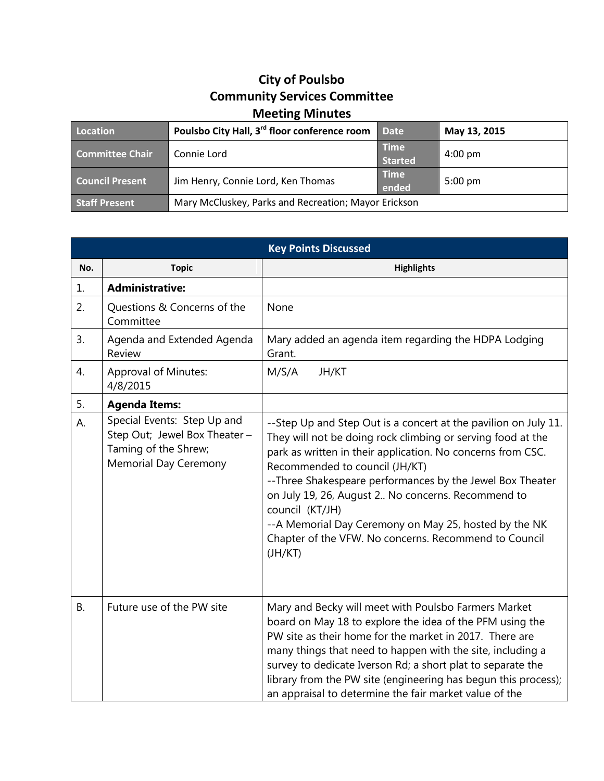## **City of Poulsbo Community Services Committee Meeting Minutes**

| Location               | Poulsbo City Hall, 3 <sup>rd</sup> floor conference room | <b>Date</b>                   | May 13, 2015      |
|------------------------|----------------------------------------------------------|-------------------------------|-------------------|
| Committee Chair        | Connie Lord                                              | <b>Time</b><br><b>Started</b> | $4:00 \text{ pm}$ |
| <b>Council Present</b> | Jim Henry, Connie Lord, Ken Thomas                       | <b>Time</b><br>ended          | $5:00 \text{ pm}$ |
| <b>Staff Present</b>   | Mary McCluskey, Parks and Recreation; Mayor Erickson     |                               |                   |

| <b>Key Points Discussed</b> |                                                                                                                      |                                                                                                                                                                                                                                                                                                                                                                                                                                                                                                     |  |  |
|-----------------------------|----------------------------------------------------------------------------------------------------------------------|-----------------------------------------------------------------------------------------------------------------------------------------------------------------------------------------------------------------------------------------------------------------------------------------------------------------------------------------------------------------------------------------------------------------------------------------------------------------------------------------------------|--|--|
| No.                         | <b>Topic</b>                                                                                                         | <b>Highlights</b>                                                                                                                                                                                                                                                                                                                                                                                                                                                                                   |  |  |
| 1.                          | <b>Administrative:</b>                                                                                               |                                                                                                                                                                                                                                                                                                                                                                                                                                                                                                     |  |  |
| 2.                          | Questions & Concerns of the<br>Committee                                                                             | None                                                                                                                                                                                                                                                                                                                                                                                                                                                                                                |  |  |
| 3.                          | Agenda and Extended Agenda<br>Review                                                                                 | Mary added an agenda item regarding the HDPA Lodging<br>Grant.                                                                                                                                                                                                                                                                                                                                                                                                                                      |  |  |
| 4.                          | <b>Approval of Minutes:</b><br>4/8/2015                                                                              | M/S/A<br>JH/KT                                                                                                                                                                                                                                                                                                                                                                                                                                                                                      |  |  |
| 5.                          | <b>Agenda Items:</b>                                                                                                 |                                                                                                                                                                                                                                                                                                                                                                                                                                                                                                     |  |  |
| А.                          | Special Events: Step Up and<br>Step Out; Jewel Box Theater -<br>Taming of the Shrew;<br><b>Memorial Day Ceremony</b> | --Step Up and Step Out is a concert at the pavilion on July 11.<br>They will not be doing rock climbing or serving food at the<br>park as written in their application. No concerns from CSC.<br>Recommended to council (JH/KT)<br>-- Three Shakespeare performances by the Jewel Box Theater<br>on July 19, 26, August 2 No concerns. Recommend to<br>council (KT/JH)<br>--A Memorial Day Ceremony on May 25, hosted by the NK<br>Chapter of the VFW. No concerns. Recommend to Council<br>(JH/KT) |  |  |
| <b>B.</b>                   | Future use of the PW site                                                                                            | Mary and Becky will meet with Poulsbo Farmers Market<br>board on May 18 to explore the idea of the PFM using the<br>PW site as their home for the market in 2017. There are<br>many things that need to happen with the site, including a<br>survey to dedicate Iverson Rd; a short plat to separate the<br>library from the PW site (engineering has begun this process);<br>an appraisal to determine the fair market value of the                                                                |  |  |